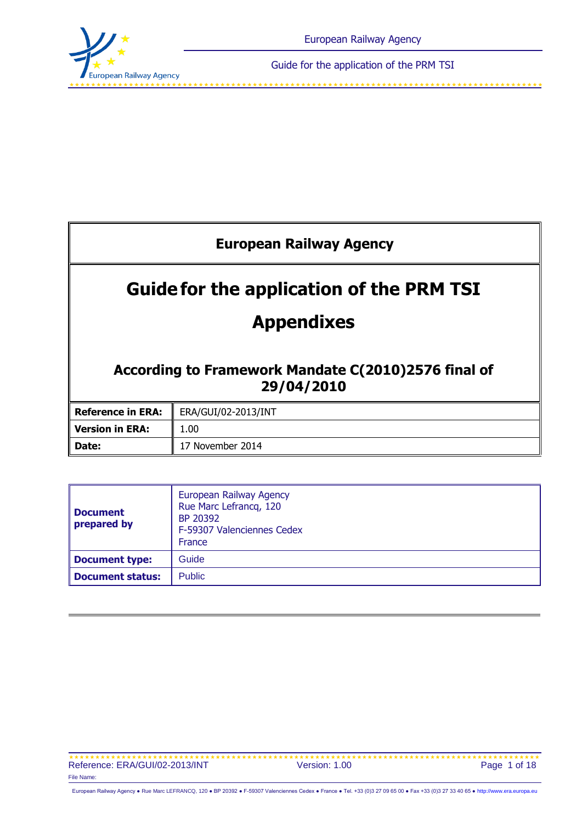

<span id="page-0-0"></span>Guide for the application of the PRM TSI

| <b>European Railway Agency</b>                                    |                     |  |  |
|-------------------------------------------------------------------|---------------------|--|--|
| <b>Guidefor the application of the PRM TSI</b>                    |                     |  |  |
| <b>Appendixes</b>                                                 |                     |  |  |
| According to Framework Mandate C(2010)2576 final of<br>29/04/2010 |                     |  |  |
| <b>Reference in ERA:</b>                                          | ERA/GUI/02-2013/INT |  |  |
| <b>Version in ERA:</b>                                            | 1.00                |  |  |
| Date:                                                             | 17 November 2014    |  |  |

| <b>Document</b><br>prepared by | European Railway Agency<br>Rue Marc Lefrancq, 120<br>BP 20392<br>F-59307 Valenciennes Cedex<br>France |
|--------------------------------|-------------------------------------------------------------------------------------------------------|
| Document type:                 | Guide                                                                                                 |
| <b>Document status:</b>        | <b>Public</b>                                                                                         |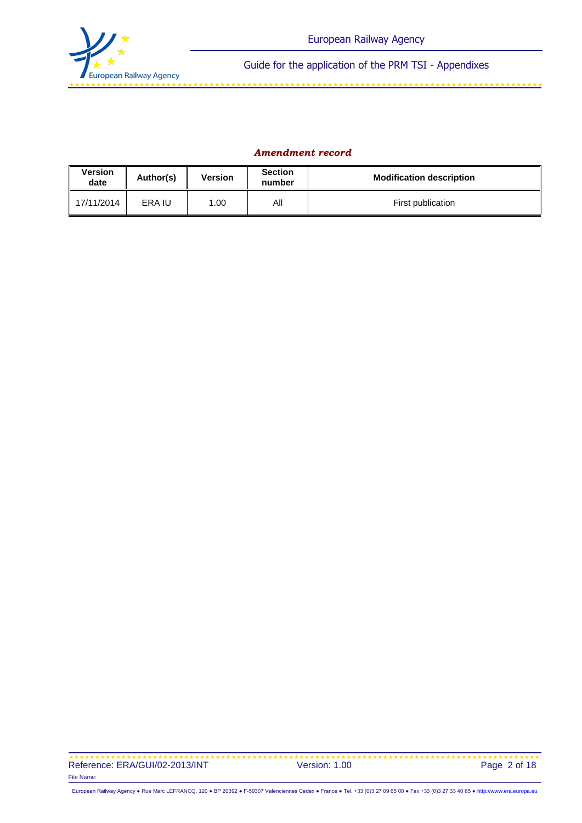

#### *Amendment record*

| <b>Version</b><br>date | Author(s) | <b>Version</b> | <b>Section</b><br>number | <b>Modification description</b> |
|------------------------|-----------|----------------|--------------------------|---------------------------------|
| 17/11/2014             | ERA IU    | .00            | All                      | First publication               |

 Reference: ERA/GUI/02-2013/INT File Name: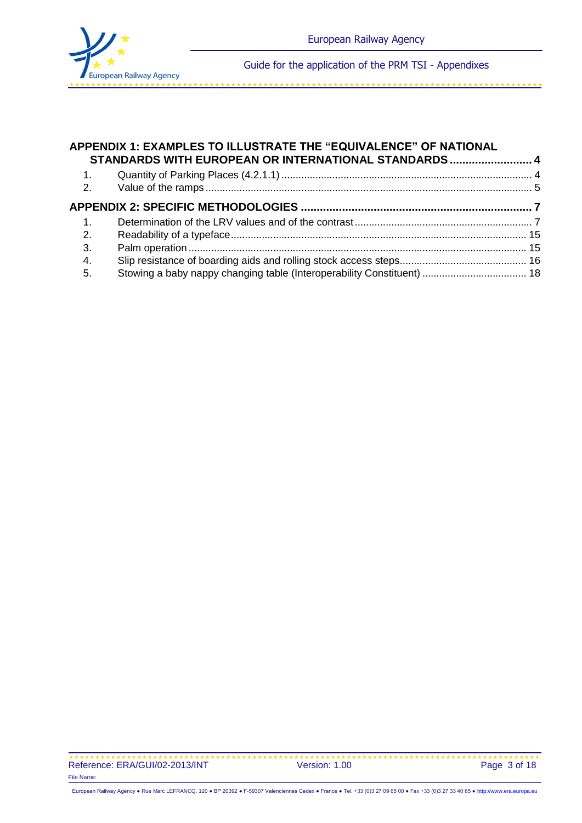

#### **APPENDIX 1: EXAMPLES TO ILLUSTRATE THE "EQUIVALENCE" OF NATIONAL STANDARDS WITH EUROPEAN OR INTERNATIONAL STANDARDS.......................... 4**  $Quantile of Devting Dloce (4.2.1.1)$

| $\overline{1}$ . |  |
|------------------|--|
| 2.               |  |
| 3.               |  |
| 4.               |  |
| 5.               |  |
|                  |  |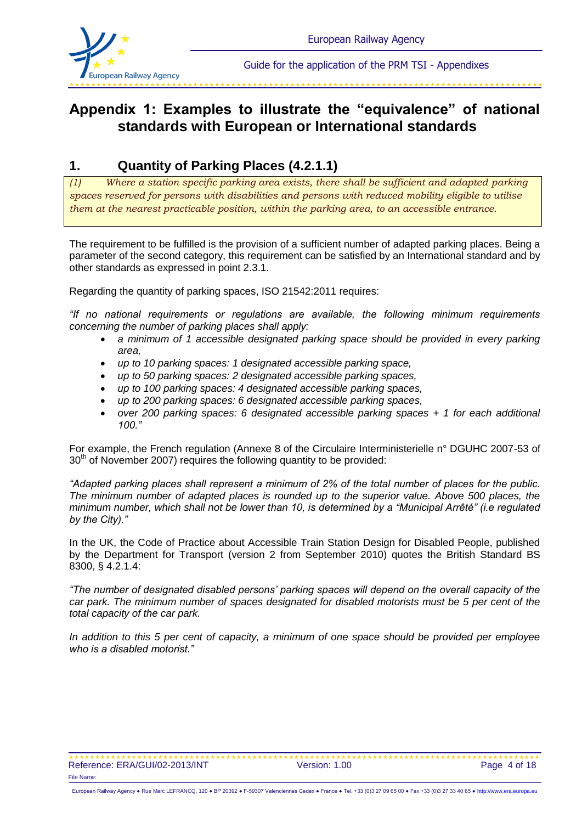

#### 

## **Appendix 1: Examples to illustrate the "equivalence" of national standards with European or International standards**

### **1. Quantity of Parking Places (4.2.1.1)**

*(1) Where a station specific parking area exists, there shall be sufficient and adapted parking spaces reserved for persons with disabilities and persons with reduced mobility eligible to utilise them at the nearest practicable position, within the parking area, to an accessible entrance.*

The requirement to be fulfilled is the provision of a sufficient number of adapted parking places. Being a parameter of the second category, this requirement can be satisfied by an International standard and by other standards as expressed in point 2.3.1.

Regarding the quantity of parking spaces, ISO 21542:2011 requires:

*"If no national requirements or regulations are available, the following minimum requirements concerning the number of parking places shall apply:*

- *a minimum of 1 accessible designated parking space should be provided in every parking area,*
- *up to 10 parking spaces: 1 designated accessible parking space,*
- *up to 50 parking spaces: 2 designated accessible parking spaces,*
- *up to 100 parking spaces: 4 designated accessible parking spaces,*
- *up to 200 parking spaces: 6 designated accessible parking spaces,*
- *over 200 parking spaces: 6 designated accessible parking spaces + 1 for each additional 100."*

For example, the French regulation (Annexe 8 of the Circulaire Interministerielle n° DGUHC 2007-53 of 30<sup>th</sup> of November 2007) requires the following quantity to be provided:

*"Adapted parking places shall represent a minimum of 2% of the total number of places for the public. The minimum number of adapted places is rounded up to the superior value. Above 500 places, the minimum number, which shall not be lower than 10, is determined by a "Municipal Arrêté" (i.e regulated by the City)."*

In the UK, the Code of Practice about Accessible Train Station Design for Disabled People, published by the Department for Transport (version 2 from September 2010) quotes the British Standard BS 8300, § 4.2.1.4:

*"The number of designated disabled persons' parking spaces will depend on the overall capacity of the car park. The minimum number of spaces designated for disabled motorists must be 5 per cent of the total capacity of the car park.*

*In addition to this 5 per cent of capacity, a minimum of one space should be provided per employee who is a disabled motorist."*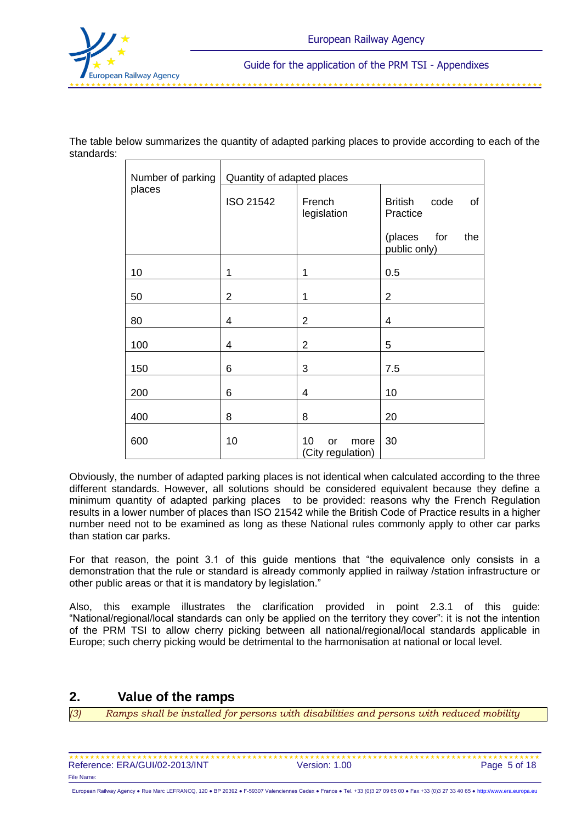

The table below summarizes the quantity of adapted parking places to provide according to each of the standards:

| Number of parking | Quantity of adapted places |                                       |                                          |  |  |  |
|-------------------|----------------------------|---------------------------------------|------------------------------------------|--|--|--|
| places            | ISO 21542                  | French<br>legislation                 | <b>British</b><br>code<br>of<br>Practice |  |  |  |
|                   |                            |                                       | for<br>(places<br>the<br>public only)    |  |  |  |
| 10                | 1                          | 1                                     | 0.5                                      |  |  |  |
| 50                | $\overline{2}$             | 1                                     | $\overline{2}$                           |  |  |  |
| 80                | 4                          | $\overline{2}$                        | 4                                        |  |  |  |
| 100               | 4                          | $\overline{2}$                        | 5                                        |  |  |  |
| 150               | 6                          | 3                                     | 7.5                                      |  |  |  |
| 200               | 6                          | 4                                     | 10                                       |  |  |  |
| 400               | 8                          | 8                                     | 20                                       |  |  |  |
| 600               | 10                         | 10<br>more<br>or<br>(City regulation) | 30                                       |  |  |  |

Obviously, the number of adapted parking places is not identical when calculated according to the three different standards. However, all solutions should be considered equivalent because they define a minimum quantity of adapted parking places to be provided: reasons why the French Regulation results in a lower number of places than ISO 21542 while the British Code of Practice results in a higher number need not to be examined as long as these National rules commonly apply to other car parks than station car parks.

For that reason, the point 3.1 of this guide mentions that "the equivalence only consists in a demonstration that the rule or standard is already commonly applied in railway /station infrastructure or other public areas or that it is mandatory by legislation."

Also, this example illustrates the clarification provided in point 2.3.1 of this guide: "National/regional/local standards can only be applied on the territory they cover": it is not the intention of the PRM TSI to allow cherry picking between all national/regional/local standards applicable in Europe; such cherry picking would be detrimental to the harmonisation at national or local level.

### **2. Value of the ramps**

*(3) Ramps shall be installed for persons with disabilities and persons with reduced mobility* 

| Reference: ERA/GUI/02-2013/INT | Version: 1.00 | Page 5 of 18 |
|--------------------------------|---------------|--------------|
| File Name:                     |               |              |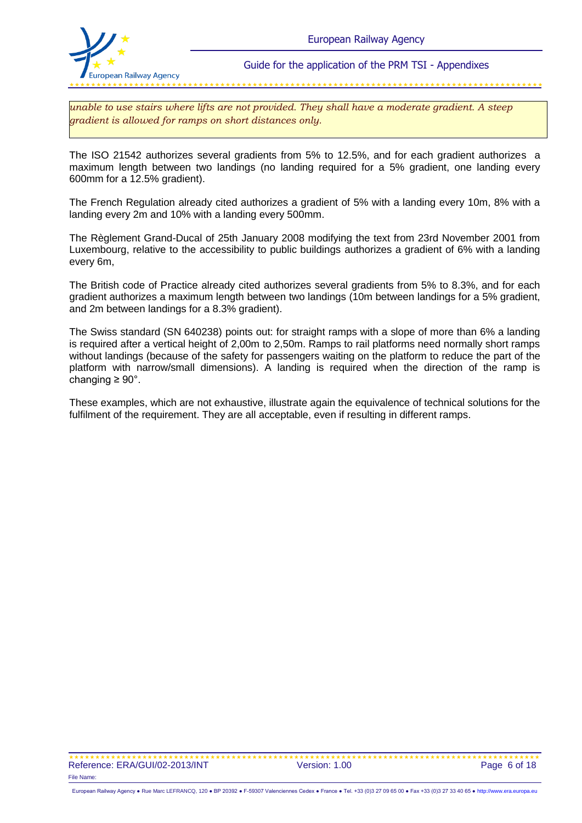

*unable to use stairs where lifts are not provided. They shall have a moderate gradient. A steep gradient is allowed for ramps on short distances only.*

The ISO 21542 authorizes several gradients from 5% to 12.5%, and for each gradient authorizes a maximum length between two landings (no landing required for a 5% gradient, one landing every 600mm for a 12.5% gradient).

The French Regulation already cited authorizes a gradient of 5% with a landing every 10m, 8% with a landing every 2m and 10% with a landing every 500mm.

The Règlement Grand-Ducal of 25th January 2008 modifying the text from 23rd November 2001 from Luxembourg, relative to the accessibility to public buildings authorizes a gradient of 6% with a landing every 6m,

The British code of Practice already cited authorizes several gradients from 5% to 8.3%, and for each gradient authorizes a maximum length between two landings (10m between landings for a 5% gradient, and 2m between landings for a 8.3% gradient).

The Swiss standard (SN 640238) points out: for straight ramps with a slope of more than 6% a landing is required after a vertical height of 2,00m to 2,50m. Ramps to rail platforms need normally short ramps without landings (because of the safety for passengers waiting on the platform to reduce the part of the platform with narrow/small dimensions). A landing is required when the direction of the ramp is changing  $\geq 90^\circ$ .

These examples, which are not exhaustive, illustrate again the equivalence of technical solutions for the fulfilment of the requirement. They are all acceptable, even if resulting in different ramps.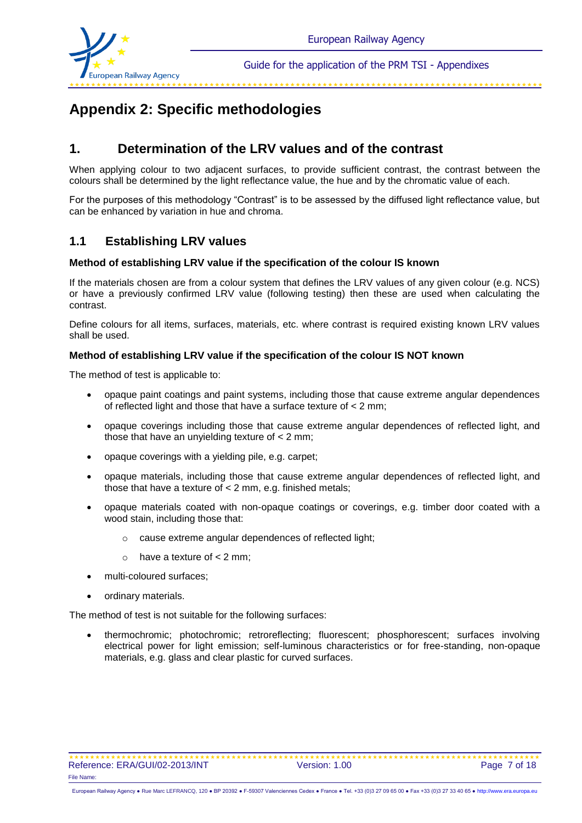

#### 

# **Appendix 2: Specific methodologies**

### **1. Determination of the LRV values and of the contrast**

When applying colour to two adjacent surfaces, to provide sufficient contrast, the contrast between the colours shall be determined by the light reflectance value, the hue and by the chromatic value of each.

For the purposes of this methodology "Contrast" is to be assessed by the diffused light reflectance value, but can be enhanced by variation in hue and chroma.

### **1.1 Establishing LRV values**

#### **Method of establishing LRV value if the specification of the colour IS known**

If the materials chosen are from a colour system that defines the LRV values of any given colour (e.g. NCS) or have a previously confirmed LRV value (following testing) then these are used when calculating the contrast.

Define colours for all items, surfaces, materials, etc. where contrast is required existing known LRV values shall be used.

#### **Method of establishing LRV value if the specification of the colour IS NOT known**

The method of test is applicable to:

- opaque paint coatings and paint systems, including those that cause extreme angular dependences of reflected light and those that have a surface texture of < 2 mm;
- opaque coverings including those that cause extreme angular dependences of reflected light, and those that have an unyielding texture of  $< 2$  mm;
- opaque coverings with a yielding pile, e.g. carpet;
- opaque materials, including those that cause extreme angular dependences of reflected light, and those that have a texture of < 2 mm, e.g. finished metals;
- opaque materials coated with non-opaque coatings or coverings, e.g. timber door coated with a wood stain, including those that:
	- o cause extreme angular dependences of reflected light;
	- $\circ$  have a texture of  $\lt 2$  mm:
- multi-coloured surfaces;
- ordinary materials.

The method of test is not suitable for the following surfaces:

 thermochromic; photochromic; retroreflecting; fluorescent; phosphorescent; surfaces involving electrical power for light emission; self-luminous characteristics or for free-standing, non-opaque materials, e.g. glass and clear plastic for curved surfaces.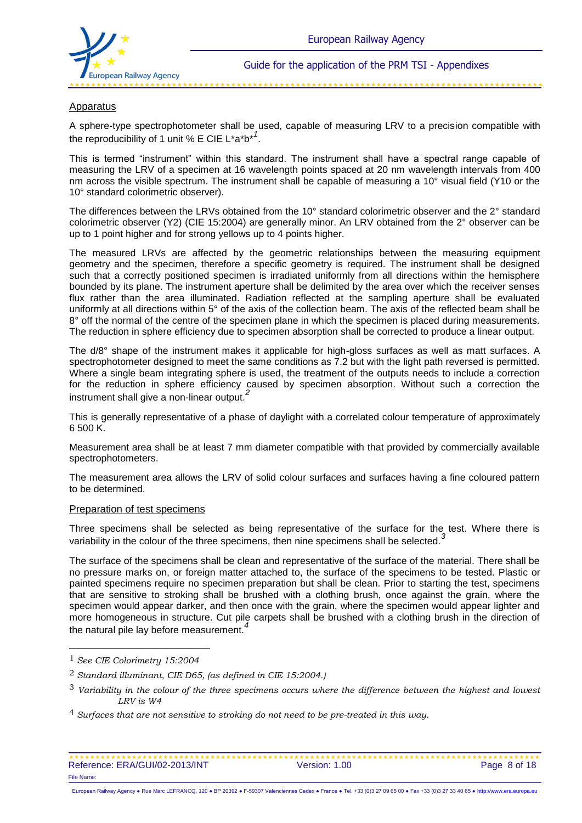

#### Apparatus

A sphere-type spectrophotometer shall be used, capable of measuring LRV to a precision compatible with the reproducibility of 1 unit % E CIE L\*a\*b\**<sup>1</sup>* .

This is termed "instrument" within this standard. The instrument shall have a spectral range capable of measuring the LRV of a specimen at 16 wavelength points spaced at 20 nm wavelength intervals from 400 nm across the visible spectrum. The instrument shall be capable of measuring a 10° visual field (Y10 or the 10° standard colorimetric observer).

The differences between the LRVs obtained from the 10° standard colorimetric observer and the 2° standard colorimetric observer (Y2) (CIE 15:2004) are generally minor. An LRV obtained from the 2° observer can be up to 1 point higher and for strong yellows up to 4 points higher.

The measured LRVs are affected by the geometric relationships between the measuring equipment geometry and the specimen, therefore a specific geometry is required. The instrument shall be designed such that a correctly positioned specimen is irradiated uniformly from all directions within the hemisphere bounded by its plane. The instrument aperture shall be delimited by the area over which the receiver senses flux rather than the area illuminated. Radiation reflected at the sampling aperture shall be evaluated uniformly at all directions within 5° of the axis of the collection beam. The axis of the reflected beam shall be 8° off the normal of the centre of the specimen plane in which the specimen is placed during measurements. The reduction in sphere efficiency due to specimen absorption shall be corrected to produce a linear output.

The  $d/8^{\circ}$  shape of the instrument makes it applicable for high-gloss surfaces as well as matt surfaces. A spectrophotometer designed to meet the same conditions as 7.2 but with the light path reversed is permitted. Where a single beam integrating sphere is used, the treatment of the outputs needs to include a correction for the reduction in sphere efficiency caused by specimen absorption. Without such a correction the instrument shall give a non-linear output.*<sup>2</sup>*

This is generally representative of a phase of daylight with a correlated colour temperature of approximately 6 500 K.

Measurement area shall be at least 7 mm diameter compatible with that provided by commercially available spectrophotometers.

The measurement area allows the LRV of solid colour surfaces and surfaces having a fine coloured pattern to be determined.

#### Preparation of test specimens

Three specimens shall be selected as being representative of the surface for the test. Where there is variability in the colour of the three specimens, then nine specimens shall be selected.*<sup>3</sup>*

The surface of the specimens shall be clean and representative of the surface of the material. There shall be no pressure marks on, or foreign matter attached to, the surface of the specimens to be tested. Plastic or painted specimens require no specimen preparation but shall be clean. Prior to starting the test, specimens that are sensitive to stroking shall be brushed with a clothing brush, once against the grain, where the specimen would appear darker, and then once with the grain, where the specimen would appear lighter and more homogeneous in structure. Cut pile carpets shall be brushed with a clothing brush in the direction of the natural pile lay before measurement.*<sup>4</sup>*

l

<sup>1</sup> *See CIE Colorimetry 15:2004*

<sup>2</sup> *Standard illuminant, CIE D65, (as defined in CIE 15:2004.)*

<sup>3</sup> *Variability in the colour of the three specimens occurs where the difference between the highest and lowest LRV is W4*

<sup>4</sup> *Surfaces that are not sensitive to stroking do not need to be pre-treated in this way.*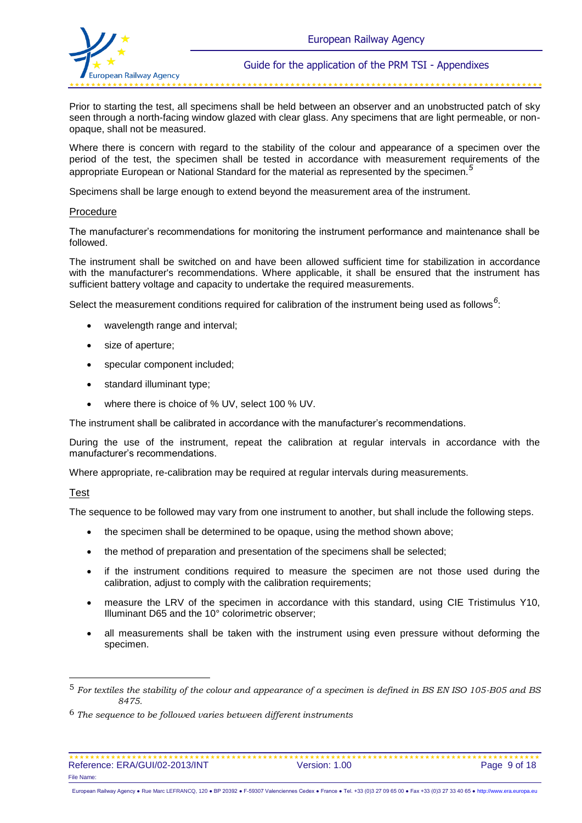

Prior to starting the test, all specimens shall be held between an observer and an unobstructed patch of sky seen through a north-facing window glazed with clear glass. Any specimens that are light permeable, or nonopaque, shall not be measured.

Where there is concern with regard to the stability of the colour and appearance of a specimen over the period of the test, the specimen shall be tested in accordance with measurement requirements of the appropriate European or National Standard for the material as represented by the specimen.*<sup>5</sup>*

Specimens shall be large enough to extend beyond the measurement area of the instrument.

#### Procedure

The manufacturer's recommendations for monitoring the instrument performance and maintenance shall be followed.

The instrument shall be switched on and have been allowed sufficient time for stabilization in accordance with the manufacturer's recommendations. Where applicable, it shall be ensured that the instrument has sufficient battery voltage and capacity to undertake the required measurements.

Select the measurement conditions required for calibration of the instrument being used as follows <sup>6</sup>:

- wavelength range and interval;
- size of aperture;
- specular component included;
- standard illuminant type;
- where there is choice of % UV, select 100 % UV.

The instrument shall be calibrated in accordance with the manufacturer's recommendations.

During the use of the instrument, repeat the calibration at regular intervals in accordance with the manufacturer's recommendations.

Where appropriate, re-calibration may be required at regular intervals during measurements.

#### Test

l

The sequence to be followed may vary from one instrument to another, but shall include the following steps.

- the specimen shall be determined to be opaque, using the method shown above;
- the method of preparation and presentation of the specimens shall be selected;
- if the instrument conditions required to measure the specimen are not those used during the calibration, adjust to comply with the calibration requirements;
- measure the LRV of the specimen in accordance with this standard, using CIE Tristimulus Y10, Illuminant D65 and the 10° colorimetric observer;
- all measurements shall be taken with the instrument using even pressure without deforming the specimen.

<sup>5</sup> *For textiles the stability of the colour and appearance of a specimen is defined in BS EN ISO 105-B05 and BS 8475.*

<sup>6</sup> *The sequence to be followed varies between different instruments*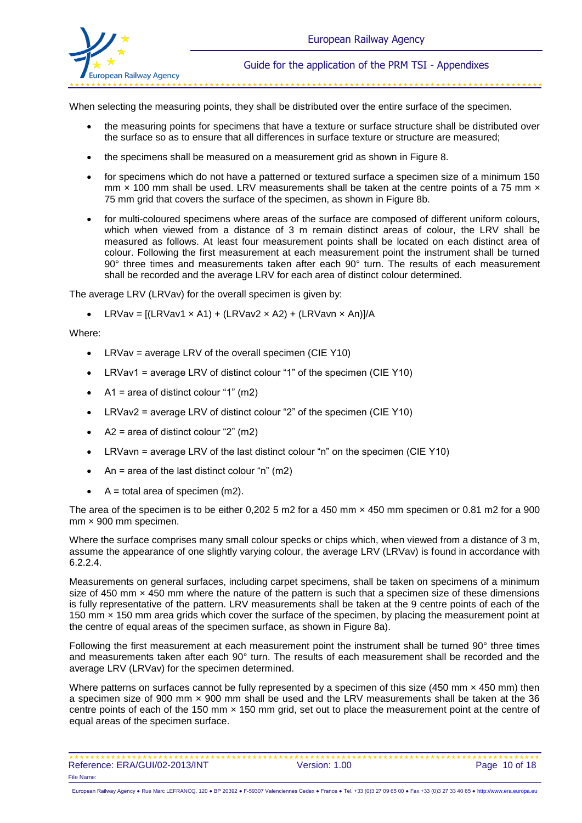

When selecting the measuring points, they shall be distributed over the entire surface of the specimen.

- the measuring points for specimens that have a texture or surface structure shall be distributed over the surface so as to ensure that all differences in surface texture or structure are measured;
- the specimens shall be measured on a measurement grid as shown in Figure 8.
- for specimens which do not have a patterned or textured surface a specimen size of a minimum 150 mm  $\times$  100 mm shall be used. LRV measurements shall be taken at the centre points of a 75 mm  $\times$ 75 mm grid that covers the surface of the specimen, as shown in Figure 8b.
- for multi-coloured specimens where areas of the surface are composed of different uniform colours, which when viewed from a distance of 3 m remain distinct areas of colour, the LRV shall be measured as follows. At least four measurement points shall be located on each distinct area of colour. Following the first measurement at each measurement point the instrument shall be turned 90° three times and measurements taken after each 90° turn. The results of each measurement shall be recorded and the average LRV for each area of distinct colour determined.

The average LRV (LRVav) for the overall specimen is given by:

• LRVav =  $[(LRVav1 \times A1) + (LRVav2 \times A2) + (LRVavn \times An)]/A$ 

#### Where:

- LRVav = average LRV of the overall specimen (CIE Y10)
- LRVav1 = average LRV of distinct colour "1" of the specimen (CIE Y10)
- $\bullet$  A1 = area of distinct colour "1" (m2)
- LRVav2 = average LRV of distinct colour "2" of the specimen (CIE Y10)
- $\triangle$  A2 = area of distinct colour "2" (m2)
- LRVavn = average LRV of the last distinct colour "n" on the specimen (CIE Y10)
- An = area of the last distinct colour "n" (m2)
- $\bullet$  A = total area of specimen (m2).

The area of the specimen is to be either 0,202 5 m2 for a 450 mm x 450 mm specimen or 0.81 m2 for a 900 mm × 900 mm specimen.

Where the surface comprises many small colour specks or chips which, when viewed from a distance of 3 m, assume the appearance of one slightly varying colour, the average LRV (LRVav) is found in accordance with 6.2.2.4.

Measurements on general surfaces, including carpet specimens, shall be taken on specimens of a minimum size of 450 mm x 450 mm where the nature of the pattern is such that a specimen size of these dimensions is fully representative of the pattern. LRV measurements shall be taken at the 9 centre points of each of the 150 mm × 150 mm area grids which cover the surface of the specimen, by placing the measurement point at the centre of equal areas of the specimen surface, as shown in Figure 8a).

Following the first measurement at each measurement point the instrument shall be turned 90° three times and measurements taken after each 90° turn. The results of each measurement shall be recorded and the average LRV (LRVav) for the specimen determined.

Where patterns on surfaces cannot be fully represented by a specimen of this size (450 mm x 450 mm) then a specimen size of 900 mm × 900 mm shall be used and the LRV measurements shall be taken at the 36 centre points of each of the 150 mm  $\times$  150 mm grid, set out to place the measurement point at the centre of equal areas of the specimen surface.

| Reference: ERA/GUI/02-2013/INT | Version: 1.00 |
|--------------------------------|---------------|
| File Name:                     |               |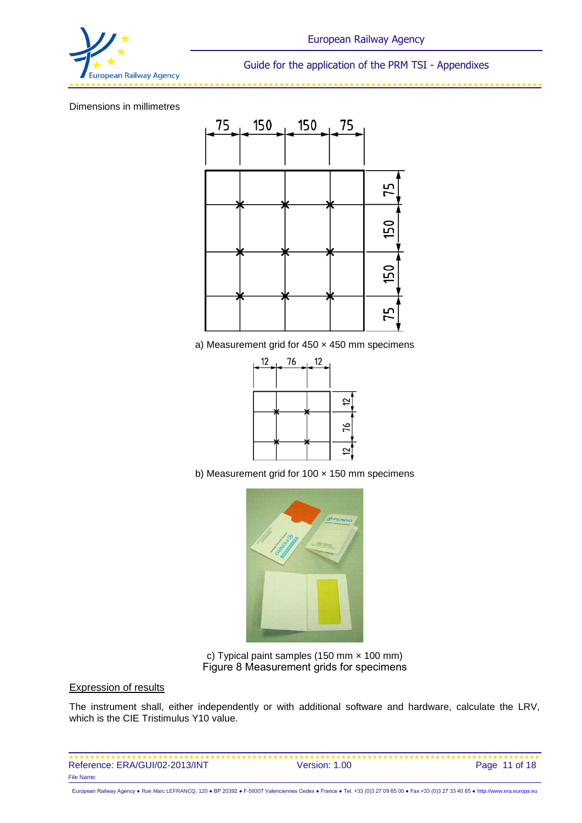

#### Dimensions in millimetres



a) Measurement grid for  $450 \times 450$  mm specimens



b) Measurement grid for  $100 \times 150$  mm specimens



c) Typical paint samples (150 mm × 100 mm) Figure 8 Measurement grids for specimens

#### Expression of results

The instrument shall, either independently or with additional software and hardware, calculate the LRV, which is the CIE Tristimulus Y10 value.

| Reference: ERA/GUI/02-2013/INT | Version: 1.00 | Page 11 of 18 |
|--------------------------------|---------------|---------------|
| File Name:                     |               |               |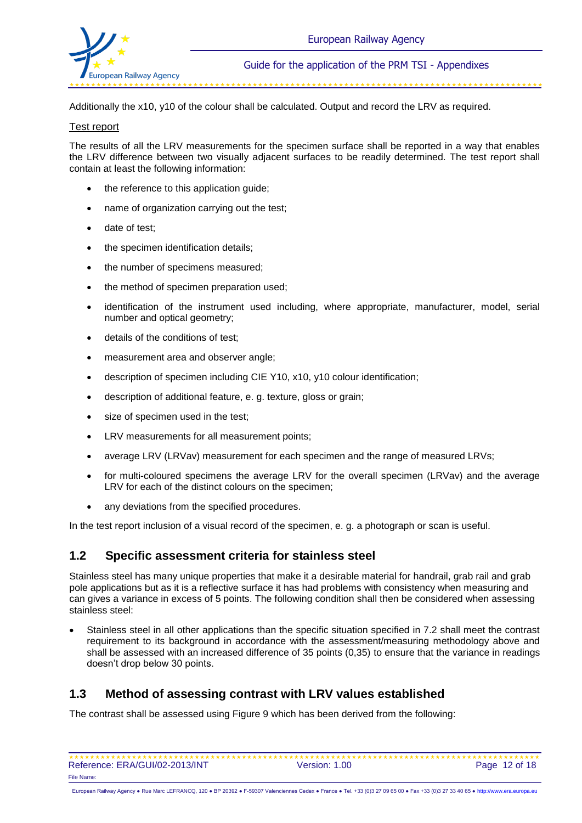

Additionally the x10, y10 of the colour shall be calculated. Output and record the LRV as required.

#### Test report

The results of all the LRV measurements for the specimen surface shall be reported in a way that enables the LRV difference between two visually adjacent surfaces to be readily determined. The test report shall contain at least the following information:

- the reference to this application guide;
- name of organization carrying out the test;
- date of test;
- the specimen identification details:
- the number of specimens measured:
- the method of specimen preparation used;
- identification of the instrument used including, where appropriate, manufacturer, model, serial number and optical geometry;
- details of the conditions of test;
- measurement area and observer angle:
- description of specimen including CIE Y10, x10, y10 colour identification;
- description of additional feature, e. g. texture, gloss or grain;
- size of specimen used in the test;
- LRV measurements for all measurement points;
- average LRV (LRVav) measurement for each specimen and the range of measured LRVs;
- for multi-coloured specimens the average LRV for the overall specimen (LRVav) and the average LRV for each of the distinct colours on the specimen;
- any deviations from the specified procedures.

In the test report inclusion of a visual record of the specimen, e. g. a photograph or scan is useful.

### **1.2 Specific assessment criteria for stainless steel**

Stainless steel has many unique properties that make it a desirable material for handrail, grab rail and grab pole applications but as it is a reflective surface it has had problems with consistency when measuring and can gives a variance in excess of 5 points. The following condition shall then be considered when assessing stainless steel:

 Stainless steel in all other applications than the specific situation specified in 7.2 shall meet the contrast requirement to its background in accordance with the assessment/measuring methodology above and shall be assessed with an increased difference of 35 points (0,35) to ensure that the variance in readings doesn't drop below 30 points.

### **1.3 Method of assessing contrast with LRV values established**

The contrast shall be assessed using Figure 9 which has been derived from the following:

| Reference: ERA/GUI/02-2013/INT | Version: 1.00 | Page 12 of 18 |
|--------------------------------|---------------|---------------|
| File Name:                     |               |               |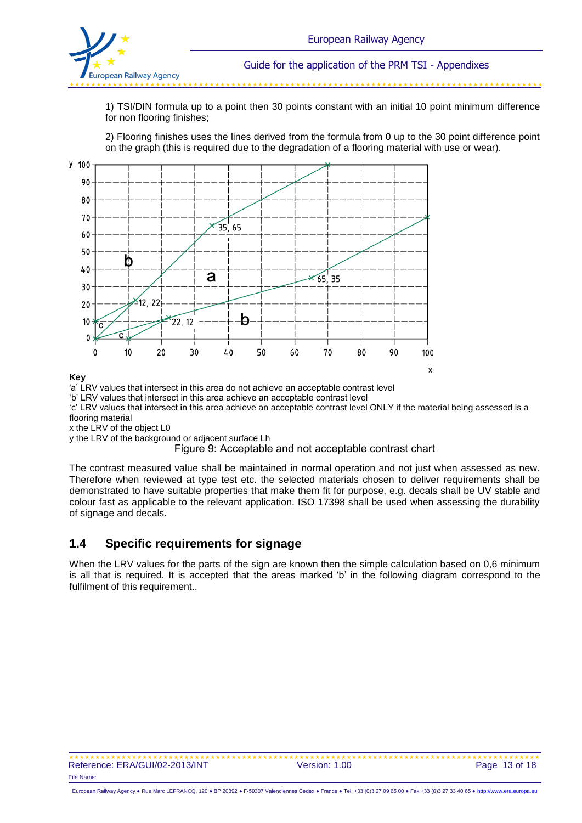

1) TSI/DIN formula up to a point then 30 points constant with an initial 10 point minimum difference for non flooring finishes;

2) Flooring finishes uses the lines derived from the formula from 0 up to the 30 point difference point on the graph (this is required due to the degradation of a flooring material with use or wear).



#### **Key**

'a' LRV values that intersect in this area do not achieve an acceptable contrast level

'b' LRV values that intersect in this area achieve an acceptable contrast level

'c' LRV values that intersect in this area achieve an acceptable contrast level ONLY if the material being assessed is a flooring material

x the LRV of the object L0

y the LRV of the background or adjacent surface Lh

Figure 9: Acceptable and not acceptable contrast chart

The contrast measured value shall be maintained in normal operation and not just when assessed as new. Therefore when reviewed at type test etc. the selected materials chosen to deliver requirements shall be demonstrated to have suitable properties that make them fit for purpose, e.g. decals shall be UV stable and colour fast as applicable to the relevant application. ISO 17398 shall be used when assessing the durability of signage and decals.

### **1.4 Specific requirements for signage**

When the LRV values for the parts of the sign are known then the simple calculation based on 0.6 minimum is all that is required. It is accepted that the areas marked 'b' in the following diagram correspond to the fulfilment of this requirement..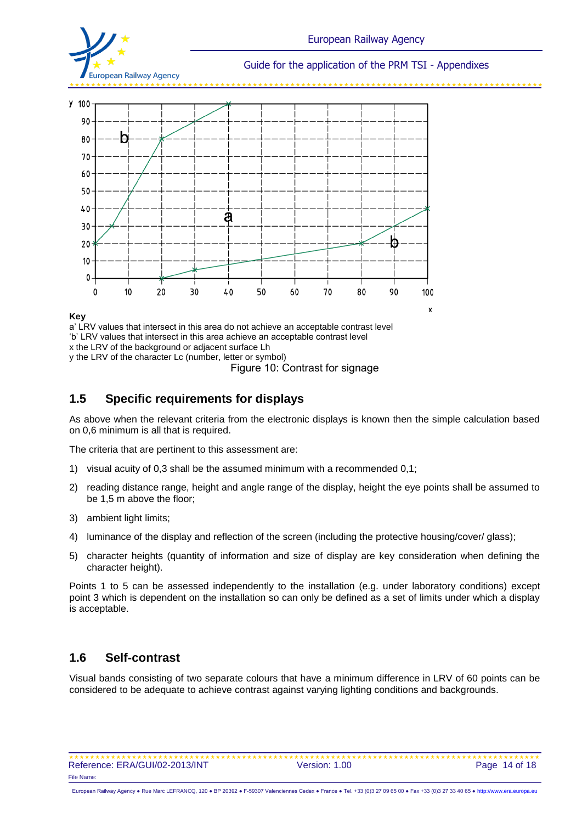



a' LRV values that intersect in this area do not achieve an acceptable contrast level 'b' LRV values that intersect in this area achieve an acceptable contrast level x the LRV of the background or adjacent surface Lh y the LRV of the character Lc (number, letter or symbol)

Figure 10: Contrast for signage

### **1.5 Specific requirements for displays**

As above when the relevant criteria from the electronic displays is known then the simple calculation based on 0,6 minimum is all that is required.

The criteria that are pertinent to this assessment are:

- 1) visual acuity of 0,3 shall be the assumed minimum with a recommended 0,1;
- 2) reading distance range, height and angle range of the display, height the eye points shall be assumed to be 1,5 m above the floor;
- 3) ambient light limits;
- 4) luminance of the display and reflection of the screen (including the protective housing/cover/ glass);
- 5) character heights (quantity of information and size of display are key consideration when defining the character height).

Points 1 to 5 can be assessed independently to the installation (e.g. under laboratory conditions) except point 3 which is dependent on the installation so can only be defined as a set of limits under which a display is acceptable.

### **1.6 Self-contrast**

Visual bands consisting of two separate colours that have a minimum difference in LRV of 60 points can be considered to be adequate to achieve contrast against varying lighting conditions and backgrounds.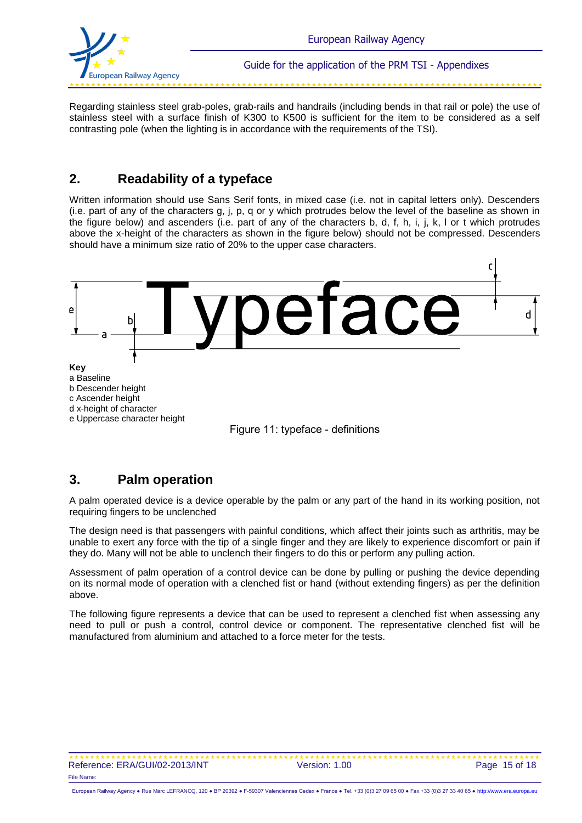

Regarding stainless steel grab-poles, grab-rails and handrails (including bends in that rail or pole) the use of stainless steel with a surface finish of K300 to K500 is sufficient for the item to be considered as a self contrasting pole (when the lighting is in accordance with the requirements of the TSI).

### **2. Readability of a typeface**

Written information should use Sans Serif fonts, in mixed case (i.e. not in capital letters only). Descenders (i.e. part of any of the characters g, j, p, q or y which protrudes below the level of the baseline as shown in the figure below) and ascenders (i.e. part of any of the characters b, d, f, h, i, j, k, l or t which protrudes above the x-height of the characters as shown in the figure below) should not be compressed. Descenders should have a minimum size ratio of 20% to the upper case characters.





### **3. Palm operation**

A palm operated device is a device operable by the palm or any part of the hand in its working position, not requiring fingers to be unclenched

The design need is that passengers with painful conditions, which affect their joints such as arthritis, may be unable to exert any force with the tip of a single finger and they are likely to experience discomfort or pain if they do. Many will not be able to unclench their fingers to do this or perform any pulling action.

Assessment of palm operation of a control device can be done by pulling or pushing the device depending on its normal mode of operation with a clenched fist or hand (without extending fingers) as per the definition above.

The following figure represents a device that can be used to represent a clenched fist when assessing any need to pull or push a control, control device or component. The representative clenched fist will be manufactured from aluminium and attached to a force meter for the tests.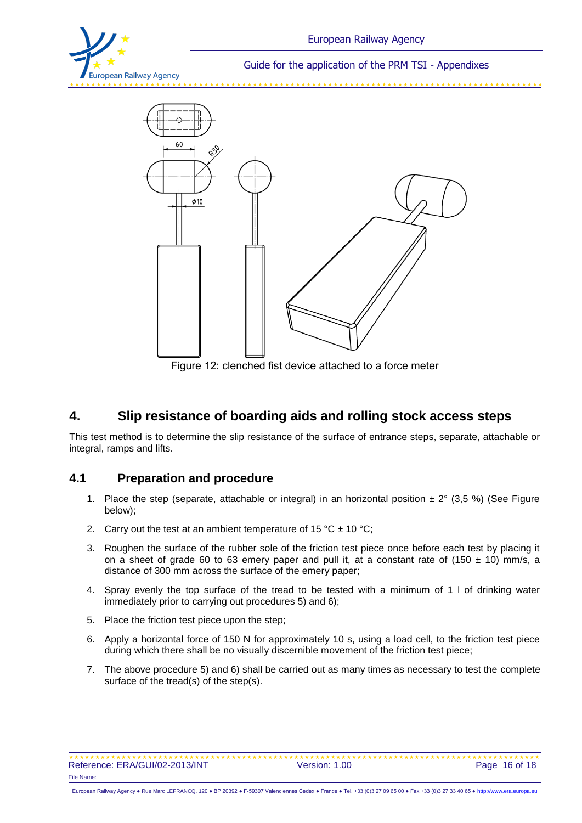



Figure 12: clenched fist device attached to a force meter

### **4. Slip resistance of boarding aids and rolling stock access steps**

This test method is to determine the slip resistance of the surface of entrance steps, separate, attachable or integral, ramps and lifts.

### **4.1 Preparation and procedure**

- 1. Place the step (separate, attachable or integral) in an horizontal position  $\pm 2^{\circ}$  (3,5 %) (See Figure below);
- 2. Carry out the test at an ambient temperature of 15 °C  $\pm$  10 °C;
- 3. Roughen the surface of the rubber sole of the friction test piece once before each test by placing it on a sheet of grade 60 to 63 emery paper and pull it, at a constant rate of (150  $\pm$  10) mm/s, a distance of 300 mm across the surface of the emery paper;
- 4. Spray evenly the top surface of the tread to be tested with a minimum of 1 l of drinking water immediately prior to carrying out procedures 5) and 6);
- 5. Place the friction test piece upon the step;
- 6. Apply a horizontal force of 150 N for approximately 10 s, using a load cell, to the friction test piece during which there shall be no visually discernible movement of the friction test piece;
- 7. The above procedure 5) and 6) shall be carried out as many times as necessary to test the complete surface of the tread(s) of the step(s).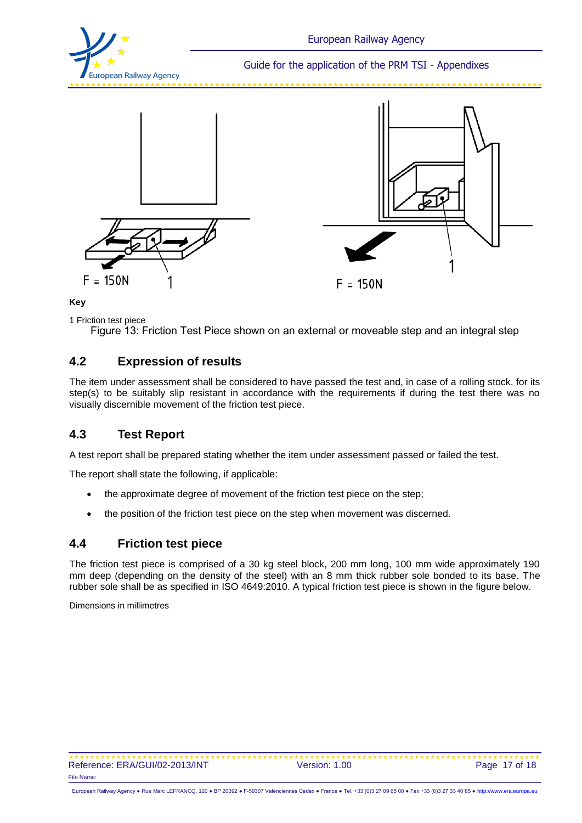







1 Friction test piece

Figure 13: Friction Test Piece shown on an external or moveable step and an integral step

### **4.2 Expression of results**

The item under assessment shall be considered to have passed the test and, in case of a rolling stock, for its step(s) to be suitably slip resistant in accordance with the requirements if during the test there was no visually discernible movement of the friction test piece.

### **4.3 Test Report**

A test report shall be prepared stating whether the item under assessment passed or failed the test.

The report shall state the following, if applicable:

- the approximate degree of movement of the friction test piece on the step;
- the position of the friction test piece on the step when movement was discerned.

### **4.4 Friction test piece**

The friction test piece is comprised of a 30 kg steel block, 200 mm long, 100 mm wide approximately 190 mm deep (depending on the density of the steel) with an 8 mm thick rubber sole bonded to its base. The rubber sole shall be as specified in ISO 4649:2010. A typical friction test piece is shown in the figure below.

Dimensions in millimetres